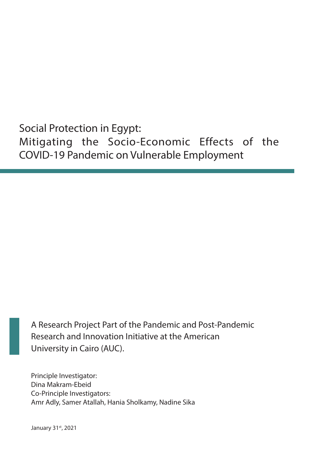Social Protection in Egypt: Mitigating the Socio-Economic Effects of the COVID-19 Pandemic on Vulnerable Employment

A Research Project Part of the Pandemic and Post-Pandemic Research and Innovation Initiative at the American University in Cairo (AUC).

Principle Investigator: Dina Makram-Ebeid Co-Principle Investigators: Amr Adly, Samer Atallah, Hania Sholkamy, Nadine Sika

January 31st, 2021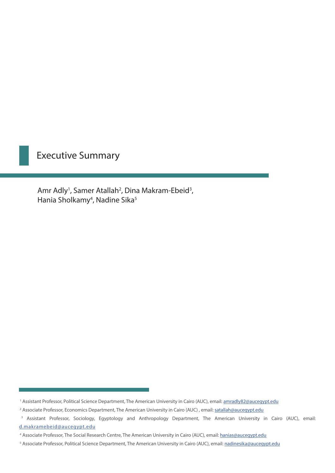## Executive Summary

Amr Adly<sup>1</sup>, Samer Atallah<sup>2</sup>, Dina Makram-Ebeid<sup>3</sup>, Hania Sholkamy<sup>4</sup>, Nadine Sika<sup>5</sup>

<sup>&</sup>lt;sup>1</sup> Assistant Professor, Political Science Department, The American University in Cairo (AUC), email: **amradly82@aucegypt.edu** 

<sup>&</sup>lt;sup>2</sup> Associate Professor, Economics Department, The American University in Cairo (AUC), email: [satallah@aucegypt.edu](mailto:satallah@aucegypt.edu)

<sup>&</sup>lt;sup>3</sup> Assistant Professor, Sociology, Egyptology and Anthropology Department, The American University in Cairo (AUC), email: [d.makramebeid@aucegypt.edu](mailto:d.makramebeid@aucegypt.edu)

<sup>4</sup> Associate Professor, The Social Research Centre, The American University in Cairo (AUC), email: [hanias@aucegypt.edu](mailto:Hanias@aucegypt.edu)

<sup>5</sup> Associate Professor, Political Science Department, The American University in Cairo (AUC), email: [nadinesika@aucegypt.edu](mailto:nadinesika@aucegypt.edu)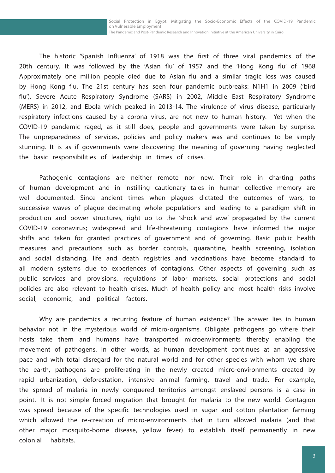Social Protection in Egypt: Mitigating the Socio-Economic Effects of the COVID-19 Pandemic on Vulnerable Employment The Pandemic and Post-Pandemic Research and Innovation Initiative at the American University in Cairo

The historic 'Spanish Influenza' of 1918 was the first of three viral pandemics of the 20th century. It was followed by the 'Asian flu' of 1957 and the 'Hong Kong flu' of 1968 Approximately one million people died due to Asian flu and a similar tragic loss was caused by Hong Kong flu. The 21st century has seen four pandemic outbreaks: N1H1 in 2009 ('bird flu'), Severe Acute Respiratory Syndrome (SARS) in 2002, Middle East Respiratory Syndrome (MERS) in 2012, and Ebola which peaked in 2013-14. The virulence of virus disease, particularly respiratory infections caused by a corona virus, are not new to human history. Yet when the COVID-19 pandemic raged, as it still does, people and governments were taken by surprise. The unpreparedness of services, policies and policy makers was and continues to be simply stunning. It is as if governments were discovering the meaning of governing having neglected the basic responsibilities of leadership in times of crises.

 Pathogenic contagions are neither remote nor new. Their role in charting paths of human development and in instilling cautionary tales in human collective memory are well documented. Since ancient times when plagues dictated the outcomes of wars, to successive waves of plague decimating whole populations and leading to a paradigm shift in production and power structures, right up to the 'shock and awe' propagated by the current COVID-19 coronavirus; widespread and life-threatening contagions have informed the major shifts and taken for granted practices of government and of governing. Basic public health measures and precautions such as border controls, quarantine, health screening, isolation and social distancing, life and death registries and vaccinations have become standard to all modern systems due to experiences of contagions. Other aspects of governing such as public services and provisions, regulations of labor markets, social protections and social policies are also relevant to health crises. Much of health policy and most health risks involve social, economic, and political factors.

Why are pandemics a recurring feature of human existence? The answer lies in human behavior not in the mysterious world of micro-organisms. Obligate pathogens go where their hosts take them and humans have transported microenvironments thereby enabling the movement of pathogens. In other words, as human development continues at an aggressive pace and with total disregard for the natural world and for other species with whom we share the earth, pathogens are proliferating in the newly created micro-environments created by rapid urbanization, deforestation, intensive animal farming, travel and trade. For example, the spread of malaria in newly conquered territories amongst enslaved persons is a case in point. It is not simple forced migration that brought for malaria to the new world. Contagion was spread because of the specific technologies used in sugar and cotton plantation farming which allowed the re-creation of micro-environments that in turn allowed malaria (and that other major mosquito-borne disease, yellow fever) to establish itself permanently in new colonial habitats.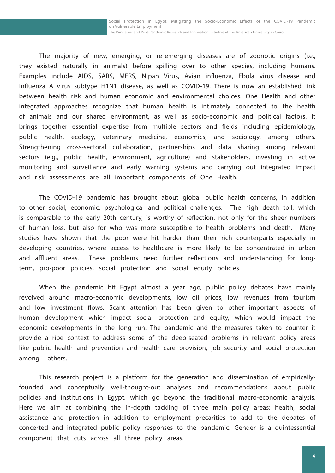Social Protection in Egypt: Mitigating the Socio-Economic Effects of the COVID-19 Pandemic on Vulnerable Employment The Pandemic and Post-Pandemic Research and Innovation Initiative at the American University in Cairo

The majority of new, emerging, or re-emerging diseases are of zoonotic origins (i.e., they existed naturally in animals) before spilling over to other species, including humans. Examples include AIDS, SARS, MERS, Nipah Virus, Avian influenza, Ebola virus disease and Influenza A virus subtype H1N1 disease, as well as COVID-19. There is now an established link between health risk and human economic and environmental choices. One Health and other integrated approaches recognize that human health is intimately connected to the health of animals and our shared environment, as well as socio-economic and political factors. It brings together essential expertise from multiple sectors and fields including epidemiology, public health, ecology, veterinary medicine, economics, and sociology, among others. Strengthening cross-sectoral collaboration, partnerships and data sharing among relevant sectors (e.g., public health, environment, agriculture) and stakeholders, investing in active monitoring and surveillance and early warning systems and carrying out integrated impact and risk assessments are all important components of One Health.

The COVID-19 pandemic has brought about global public health concerns, in addition to other social, economic, psychological and political challenges. The high death toll, which is comparable to the early 20th century, is worthy of reflection, not only for the sheer numbers of human loss, but also for who was more susceptible to health problems and death. Many studies have shown that the poor were hit harder than their rich counterparts especially in developing countries, where access to healthcare is more likely to be concentrated in urban and affluent areas. These problems need further reflections and understanding for longterm, pro-poor policies, social protection and social equity policies.

When the pandemic hit Egypt almost a year ago, public policy debates have mainly revolved around macro-economic developments, low oil prices, low revenues from tourism and low investment flows. Scant attention has been given to other important aspects of human development which impact social protection and equity, which would impact the economic developments in the long run. The pandemic and the measures taken to counter it provide a ripe context to address some of the deep-seated problems in relevant policy areas like public health and prevention and health care provision, job security and social protection among others.

This research project is a platform for the generation and dissemination of empiricallyfounded and conceptually well-thought-out analyses and recommendations about public policies and institutions in Egypt, which go beyond the traditional macro-economic analysis. Here we aim at combining the in-depth tackling of three main policy areas: health, social assistance and protection in addition to employment precarities to add to the debates of concerted and integrated public policy responses to the pandemic. Gender is a quintessential component that cuts across all three policy areas.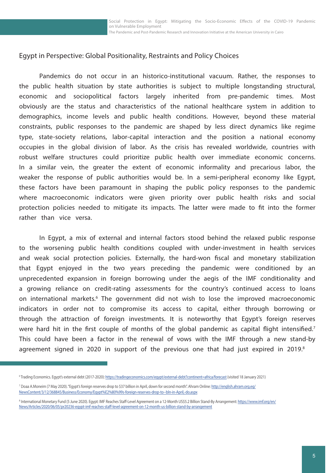Social Protection in Egypt: Mitigating the Socio-Economic Effects of the COVID-19 Pandemic on Vulnerable Employment The Pandemic and Post-Pandemic Research and Innovation Initiative at the American University in Cairo

## Egypt in Perspective: Global Positionality, Restraints and Policy Choices

Pandemics do not occur in an historico-institutional vacuum. Rather, the responses to the public health situation by state authorities is subject to multiple longstanding structural, economic and sociopolitical factors largely inherited from pre-pandemic times. Most obviously are the status and characteristics of the national healthcare system in addition to demographics, income levels and public health conditions. However, beyond these material constraints, public responses to the pandemic are shaped by less direct dynamics like regime type, state-society relations, labor-capital interaction and the position a national economy occupies in the global division of labor. As the crisis has revealed worldwide, countries with robust welfare structures could prioritize public health over immediate economic concerns. In a similar vein, the greater the extent of economic informality and precarious labor, the weaker the response of public authorities would be. In a semi-peripheral economy like Egypt, these factors have been paramount in shaping the public policy responses to the pandemic where macroeconomic indicators were given priority over public health risks and social protection policies needed to mitigate its impacts. The latter were made to fit into the former rather than vice versa.

In Egypt, a mix of external and internal factors stood behind the relaxed public response to the worsening public health conditions coupled with under-investment in health services and weak social protection policies. Externally, the hard-won fiscal and monetary stabilization that Egypt enjoyed in the two years preceding the pandemic were conditioned by an unprecedented expansion in foreign borrowing under the aegis of the IMF conditionality and a growing reliance on credit-rating assessments for the country's continued access to loans on international markets.<sup>6</sup> The government did not wish to lose the improved macroeconomic indicators in order not to compromise its access to capital, either through borrowing or through the attraction of foreign investments. It is noteworthy that Egypt's foreign reserves were hard hit in the first couple of months of the global pandemic as capital flight intensified.<sup>7</sup> This could have been a factor in the renewal of vows with the IMF through a new stand-by agreement signed in 2020 in support of the previous one that had just expired in 2019.<sup>8</sup>

<sup>&</sup>lt;sup>6</sup> Trading Economics. Egypt's external debt (2017-2020): <u>https://tradingeconomics.com/egypt/external-debt?continent=africa/forecast</u> (visited 18 January 2021)

<sup>&</sup>lt;sup>7</sup> Doaa A.Moneim (7 May 2020). "Egypt's foreign reserves drop to \$37 billion in April, down for second month". Ahram Online: <u>http://english.ahram.org.eg</u>/ [NewsContent/3/12/368845/Business/Economy/Egypt%E2%80%99s-foreign-reserves-drop-to--bln-in-April,-do.aspx](http://english.ahram.org.eg/NewsContent/3/12/368845/Business/Economy/Egypt%E2%80%99s-foreign-reserves-drop-to--bln-in-April,-do.aspx)

<sup>&</sup>lt;sup>8</sup> International Monetary Fund (5 June 2020). Egypt: IMF Reaches Staff-Level Agreement on a 12-Month US\$5.2 Billion Stand-By Arrangement: <u>[https://www.imf.org/en/](https://www.imf.org/en/News/Articles/2020/06/05/pr20236-egypt-imf-reaches-staff-level-agreement-on-12-month-us-billion-stand-by-arrangement)</u> [News/Articles/2020/06/05/pr20236-egypt-imf-reaches-staff-level-agreement-on-12-month-us-billion-stand-by-arrangement](https://www.imf.org/en/News/Articles/2020/06/05/pr20236-egypt-imf-reaches-staff-level-agreement-on-12-month-us-billion-stand-by-arrangement)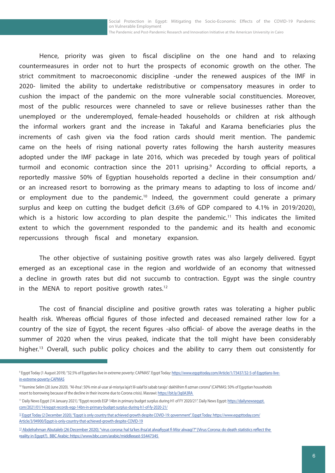Hence, priority was given to fiscal discipline on the one hand and to relaxing countermeasures in order not to hurt the prospects of economic growth on the other. The strict commitment to macroeconomic discipline -under the renewed auspices of the IMF in 2020- limited the ability to undertake redistributive or compensatory measures in order to cushion the impact of the pandemic on the more vulnerable social constituencies. Moreover, most of the public resources were channeled to save or relieve businesses rather than the unemployed or the underemployed, female-headed households or children at risk although the informal workers grant and the increase in Takaful and Karama beneficiaries plus the increments of cash given via the food ration cards should merit mention. The pandemic came on the heels of rising national poverty rates following the harsh austerity measures adopted under the IMF package in late 2016, which was preceded by tough years of political turmoil and economic contraction since the 2011 uprising.<sup>9</sup> According to official reports, a reportedly massive 50% of Egyptian households reported a decline in their consumption and/ or an increased resort to borrowing as the primary means to adapting to loss of income and/ or employment due to the pandemic.10 Indeed, the government could generate a primary surplus and keep on cutting the budget deficit (3.6% of GDP compared to 4.1% in 2019/2020), which is a historic low according to plan despite the pandemic.<sup>11</sup> This indicates the limited extent to which the government responded to the pandemic and its health and economic repercussions through fiscal and monetary expansion.

The other objective of sustaining positive growth rates was also largely delivered. Egypt emerged as an exceptional case in the region and worldwide of an economy that witnessed a decline in growth rates but did not succumb to contraction. Egypt was the single country in the MENA to report positive growth rates.<sup>12</sup>

The cost of financial discipline and positive growth rates was tolerating a higher public health risk. Whereas official figures of those infected and deceased remained rather low for a country of the size of Egypt, the recent figures -also official- of above the average deaths in the summer of 2020 when the virus peaked, indicate that the toll might have been considerably higher.<sup>13</sup> Overall, such public policy choices and the ability to carry them out consistently for

<sup>&</sup>lt;sup>9</sup> Egypt Today (1 August 2019). "32.5% of Egyptians live in extreme poverty: CAPMAS". Egypt Today: [https://www.egypttoday.com/Article/1/73437/32-5-of-Egyptians-live](https://www.egypttoday.com/Article/1/73437/32-5-of-Egyptians-live-in-extreme-poverty-CAPMAS)[in-extreme-poverty-CAPMAS](https://www.egypttoday.com/Article/1/73437/32-5-of-Egyptians-live-in-extreme-poverty-CAPMAS)

<sup>10</sup> Yasmine Selim (20 June 2020). "Al-ihsa': 50% min al-usar al-misriya laja't lil-salaf bi sabab tarajo' dakhlihim fi azman corona" (CAPMAS: 50% of Egyptian households resort to borrowing because of the decline in their income due to Corona crisis). Masrawi: https://bit.ly/3q0A3RA

<sup>&</sup>lt;sup>11</sup> Daily News Egypt (14 January 2021). "Egypt records EGP 14bn in primary budget surplus during H1 of FY 2020/21". Daily News Egypt: [https://dailynewsegypt.](https://dailynewsegypt.com/2021/01/14/egypt-records-egp-14bn-in-primary-budget-surplus-during-h1-of-fy-2020-21/) [com/2021/01/14/egypt-records-egp-14bn-in-primary-budget-surplus-during-h1-of-fy-2020-21/](https://dailynewsegypt.com/2021/01/14/egypt-records-egp-14bn-in-primary-budget-surplus-during-h1-of-fy-2020-21/)

<sup>&</sup>lt;sup>12</sup> Egypt Today (2 December 2020). "Egypt is only country that achieved growth despite COVID-19: government". Egypt Today: https://www.egypttoday.com/ [Article/3/94900/Egypt-is-only-country-that-achieved-growth-despite-COVID-19](https://dailynewsegypt.com/2021/01/14/egypt-records-egp-14bn-in-primary-budget-surplus-during-h1-of-fy-2020-21/)

<sup>&</sup>lt;sup>13</sup> Abdelrahman Abutaleb (26 December 2020). "virus corona: hal ta'kes ihsa'at alwafiyyat fi Misr alwaqi'?" (Virus Corona: do death statistics reflect the [reality in Egypt?\). BBC Arabic: https://www.bbc.com/arabic/middleeast-55447345](https://dailynewsegypt.com/2021/01/14/egypt-records-egp-14bn-in-primary-budget-surplus-during-h1-of-fy-2020-21/)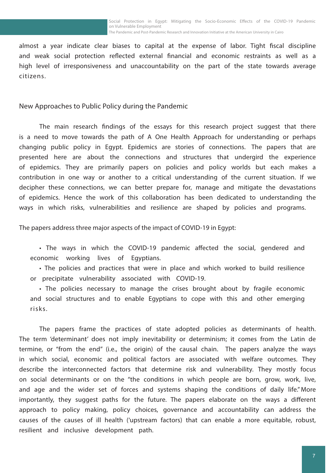almost a year indicate clear biases to capital at the expense of labor. Tight fiscal discipline and weak social protection reflected external financial and economic restraints as well as a high level of irresponsiveness and unaccountability on the part of the state towards average citizens.

New Approaches to Public Policy during the Pandemic

The main research findings of the essays for this research project suggest that there is a need to move towards the path of A One Health Approach for understanding or perhaps changing public policy in Egypt. Epidemics are stories of connections. The papers that are presented here are about the connections and structures that undergird the experience of epidemics. They are primarily papers on policies and policy worlds but each makes a contribution in one way or another to a critical understanding of the current situation. If we decipher these connections, we can better prepare for, manage and mitigate the devastations of epidemics. Hence the work of this collaboration has been dedicated to understanding the ways in which risks, vulnerabilities and resilience are shaped by policies and programs.

The papers address three major aspects of the impact of COVID-19 in Egypt:

• The ways in which the COVID-19 pandemic affected the social, gendered and economic working lives of Egyptians.

• The policies and practices that were in place and which worked to build resilience or precipitate vulnerability associated with COVID-19.

• The policies necessary to manage the crises brought about by fragile economic and social structures and to enable Egyptians to cope with this and other emerging risks.

The papers frame the practices of state adopted policies as determinants of health. The term 'determinant' does not imply inevitability or determinism; it comes from the Latin de termine, or "from the end" (i.e., the origin) of the causal chain. The papers analyze the ways in which social, economic and political factors are associated with welfare outcomes. They describe the interconnected factors that determine risk and vulnerability. They mostly focus on social determinants or on the "the conditions in which people are born, grow, work, live, and age and the wider set of forces and systems shaping the conditions of daily life." More importantly, they suggest paths for the future. The papers elaborate on the ways a different approach to policy making, policy choices, governance and accountability can address the causes of the causes of ill health ('upstream factors) that can enable a more equitable, robust, resilient and inclusive development path.